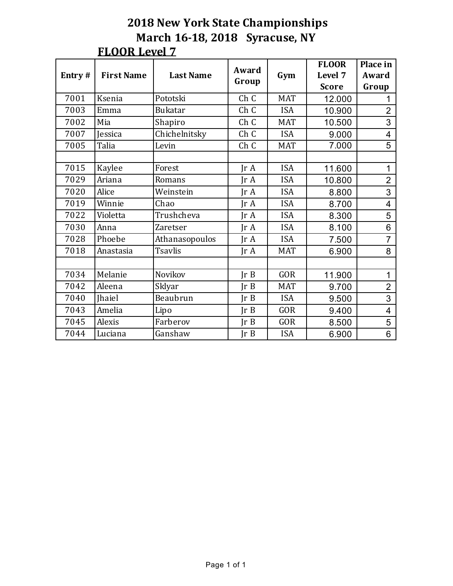| Entry# | <b>First Name</b> | <b>Last Name</b> | Award                   |            | <b>FLOOR</b><br>Level 7 | Place in<br>Award       |
|--------|-------------------|------------------|-------------------------|------------|-------------------------|-------------------------|
|        |                   |                  | Group                   | Gym        | <b>Score</b>            | Group                   |
| 7001   | Ksenia            | Pototski         | Ch C                    | <b>MAT</b> | 12.000                  | 1                       |
| 7003   | Emma              | <b>Bukatar</b>   | Ch C                    | <b>ISA</b> | 10.900                  | $\overline{2}$          |
| 7002   | Mia               | Shapiro          | Ch C                    | <b>MAT</b> | 10.500                  | 3                       |
| 7007   | Jessica           | Chichelnitsky    | Ch C                    | <b>ISA</b> | 9.000                   | $\overline{4}$          |
| 7005   | Talia             | Levin            | Ch C                    | <b>MAT</b> | 7.000                   | $\overline{5}$          |
|        |                   |                  |                         |            |                         |                         |
| 7015   | Kaylee            | Forest           | $\text{Tr }A$           | <b>ISA</b> | 11.600                  | 1                       |
| 7029   | Ariana            | Romans           | $\text{Tr } \mathbf{A}$ | <b>ISA</b> | 10.800                  | $\overline{2}$          |
| 7020   | Alice             | Weinstein        | $\text{Tr } \mathbf{A}$ | <b>ISA</b> | 8.800                   | 3                       |
| 7019   | Winnie            | Chao             | $\text{Tr } \mathbf{A}$ | <b>ISA</b> | 8.700                   | $\overline{\mathbf{4}}$ |
| 7022   | Violetta          | Trushcheva       | IrA                     | <b>ISA</b> | 8.300                   | 5                       |
| 7030   | Anna              | <b>Zaretser</b>  | JrA                     | <b>ISA</b> | 8.100                   | 6                       |
| 7028   | Phoebe            | Athanasopoulos   | $\text{Tr } \mathbf{A}$ | <b>ISA</b> | 7.500                   | $\overline{7}$          |
| 7018   | Anastasia         | <b>Tsavlis</b>   | $\text{Ir } A$          | <b>MAT</b> | 6.900                   | 8                       |
|        |                   |                  |                         |            |                         |                         |
| 7034   | Melanie           | Novikov          | Ir B                    | <b>GOR</b> | 11.900                  | 1                       |
| 7042   | Aleena            | Sklyar           | Ir B                    | <b>MAT</b> | 9.700                   | $\overline{2}$          |
| 7040   | <b>Ihaiel</b>     | Beaubrun         | $\text{Tr } B$          | <b>ISA</b> | 9.500                   | 3                       |
| 7043   | Amelia            | Lipo             | Ir B                    | <b>GOR</b> | 9.400                   | $\overline{4}$          |
| 7045   | Alexis            | Farberov         | Ir B                    | <b>GOR</b> | 8.500                   | 5                       |
| 7044   | Luciana           | Ganshaw          | JrB                     | <b>ISA</b> | 6.900                   | 6                       |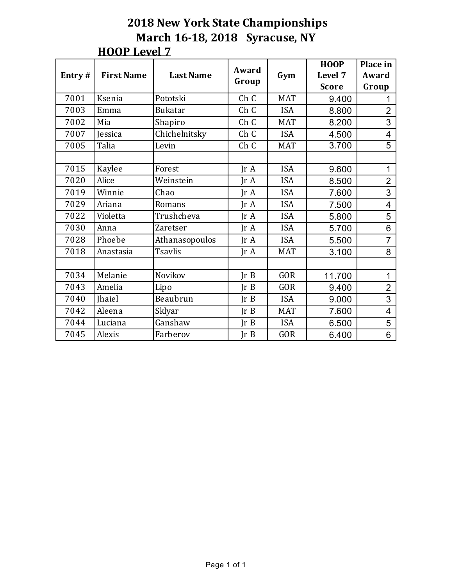| Entry# | <b>First Name</b> | <b>Last Name</b> | Award<br>Group          | Gym        | <b>HOOP</b><br>Level 7 | Place in<br>Award        |
|--------|-------------------|------------------|-------------------------|------------|------------------------|--------------------------|
|        |                   |                  |                         |            | <b>Score</b>           | Group                    |
| 7001   | Ksenia            | Pototski         | Ch C                    | <b>MAT</b> | 9.400                  |                          |
| 7003   | Emma              | <b>Bukatar</b>   | Ch C                    | <b>ISA</b> | 8.800                  | $\overline{2}$           |
| 7002   | Mia               | Shapiro          | Ch C                    | <b>MAT</b> | 8.200                  | 3                        |
| 7007   | Jessica           | Chichelnitsky    | Ch C                    | <b>ISA</b> | 4.500                  | $\overline{\mathcal{A}}$ |
| 7005   | Talia             | Levin            | Ch C                    | <b>MAT</b> | 3.700                  | $\overline{5}$           |
|        |                   |                  |                         |            |                        |                          |
| 7015   | Kaylee            | Forest           | $\text{Tr } \mathbf{A}$ | <b>ISA</b> | 9.600                  | 1                        |
| 7020   | Alice             | Weinstein        | IrA                     | <b>ISA</b> | 8.500                  | $\overline{2}$           |
| 7019   | Winnie            | Chao             | $\text{Tr }A$           | <b>ISA</b> | 7.600                  | 3                        |
| 7029   | Ariana            | Romans           | $\text{Tr }A$           | <b>ISA</b> | 7.500                  | $\overline{\mathcal{L}}$ |
| 7022   | Violetta          | Trushcheva       | JrA                     | <b>ISA</b> | 5.800                  | 5                        |
| 7030   | Anna              | <b>Zaretser</b>  | $\text{Tr } \mathbf{A}$ | <b>ISA</b> | 5.700                  | 6                        |
| 7028   | Phoebe            | Athanasopoulos   | IrA                     | <b>ISA</b> | 5.500                  | $\overline{7}$           |
| 7018   | Anastasia         | <b>Tsavlis</b>   | $\text{Tr }A$           | <b>MAT</b> | 3.100                  | 8                        |
|        |                   |                  |                         |            |                        |                          |
| 7034   | Melanie           | Novikov          | Ir B                    | <b>GOR</b> | 11.700                 | 1                        |
| 7043   | Amelia            | Lipo             | Ir B                    | <b>GOR</b> | 9.400                  | $\overline{2}$           |
| 7040   | <b>Ihaiel</b>     | Beaubrun         | Ir B                    | <b>ISA</b> | 9.000                  | 3                        |
| 7042   | Aleena            | Sklyar           | Ir B                    | <b>MAT</b> | 7.600                  | $\overline{4}$           |
| 7044   | Luciana           | Ganshaw          | Ir B                    | <b>ISA</b> | 6.500                  | 5                        |
| 7045   | Alexis            | Farberov         | Ir B                    | <b>GOR</b> | 6.400                  | 6                        |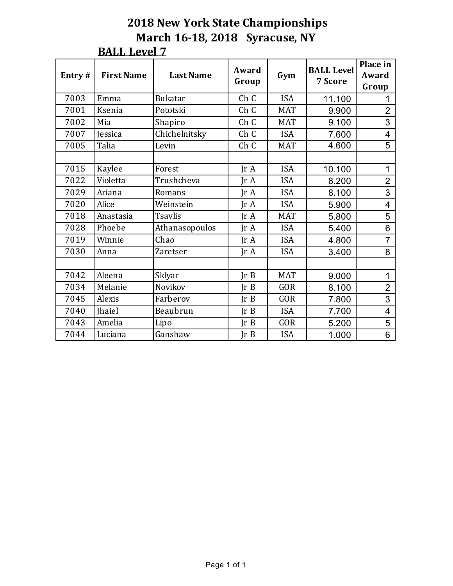| Entry# | <b>First Name</b> | <b>Last Name</b> | Award<br>Group          | Gym        | <b>BALL Level</b><br>7 Score | Place in<br>Award<br>Group |
|--------|-------------------|------------------|-------------------------|------------|------------------------------|----------------------------|
| 7003   | Emma              | <b>Bukatar</b>   | Ch C                    | <b>ISA</b> | 11.100                       |                            |
| 7001   | Ksenia            | Pototski         | Ch C                    | <b>MAT</b> | 9.900                        | $\overline{2}$             |
| 7002   | Mia               | Shapiro          | Ch C                    | <b>MAT</b> | 9.100                        | 3                          |
| 7007   | <b>Jessica</b>    | Chichelnitsky    | Ch C                    | <b>ISA</b> | 7.600                        | $\overline{4}$             |
| 7005   | Talia             | Levin            | Ch C                    | <b>MAT</b> | 4.600                        | 5                          |
|        |                   |                  |                         |            |                              |                            |
| 7015   | Kaylee            | Forest           | $\text{Tr } \mathbf{A}$ | <b>ISA</b> | 10.100                       | 1                          |
| 7022   | Violetta          | Trushcheva       | IrA                     | <b>ISA</b> | 8.200                        | $\overline{2}$             |
| 7029   | Ariana            | Romans           | IrA                     | <b>ISA</b> | 8.100                        | 3                          |
| 7020   | Alice             | Weinstein        | $\text{Tr } \mathbf{A}$ | <b>ISA</b> | 5.900                        | 4                          |
| 7018   | Anastasia         | <b>Tsavlis</b>   | IrA                     | <b>MAT</b> | 5.800                        | 5                          |
| 7028   | Phoebe            | Athanasopoulos   | IrA                     | <b>ISA</b> | 5.400                        | 6                          |
| 7019   | Winnie            | Chao             | $\text{Tr } \mathbf{A}$ | <b>ISA</b> | 4.800                        | $\overline{7}$             |
| 7030   | Anna              | <b>Zaretser</b>  | $\text{Tr }A$           | <b>ISA</b> | 3.400                        | 8                          |
|        |                   |                  |                         |            |                              |                            |
| 7042   | Aleena            | Sklyar           | Ir B                    | <b>MAT</b> | 9.000                        | 1                          |
| 7034   | Melanie           | Novikov          | Ir B                    | <b>GOR</b> | 8.100                        | $\overline{2}$             |
| 7045   | Alexis            | Farberov         | Ir B                    | <b>GOR</b> | 7.800                        | 3                          |
| 7040   | <b>Ihaiel</b>     | Beaubrun         | Ir B                    | <b>ISA</b> | 7.700                        | $\overline{4}$             |
| 7043   | Amelia            | Lipo             | Ir B                    | <b>GOR</b> | 5.200                        | 5                          |
| 7044   | Luciana           | Ganshaw          | Ir B                    | <b>ISA</b> | 1.000                        | 6                          |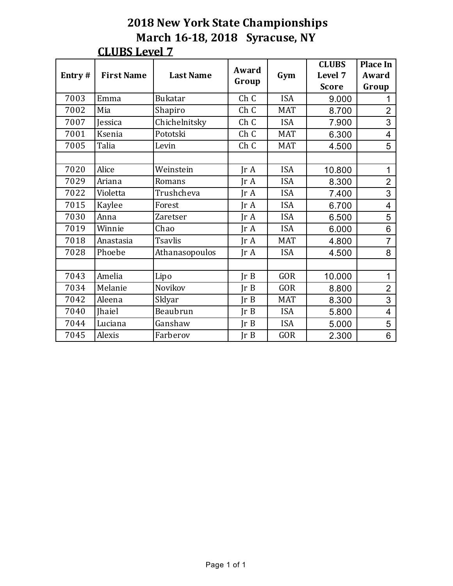| Entry# | <b>First Name</b> | <b>Last Name</b> | Award                   | Gym        | <b>CLUBS</b><br>Level 7 | <b>Place In</b><br>Award |
|--------|-------------------|------------------|-------------------------|------------|-------------------------|--------------------------|
|        |                   |                  | Group                   |            | <b>Score</b>            | Group                    |
| 7003   | Emma              | <b>Bukatar</b>   | Ch C                    | <b>ISA</b> | 9.000                   | 1                        |
| 7002   | Mia               | Shapiro          | Ch C                    | <b>MAT</b> | 8.700                   | $\overline{2}$           |
| 7007   | Jessica           | Chichelnitsky    | Ch C                    | <b>ISA</b> | 7.900                   | 3                        |
| 7001   | Ksenia            | Pototski         | Ch C                    | <b>MAT</b> | 6.300                   | 4                        |
| 7005   | Talia             | Levin            | Ch C                    | <b>MAT</b> | 4.500                   | 5                        |
|        |                   |                  |                         |            |                         |                          |
| 7020   | Alice             | Weinstein        | IrA                     | <b>ISA</b> | 10.800                  | 1                        |
| 7029   | Ariana            | Romans           | $\text{Tr } \mathbf{A}$ | <b>ISA</b> | 8.300                   | $\overline{2}$           |
| 7022   | Violetta          | Trushcheva       | IrA                     | <b>ISA</b> | 7.400                   | 3                        |
| 7015   | Kaylee            | Forest           | $\text{Tr }A$           | <b>ISA</b> | 6.700                   | $\overline{4}$           |
| 7030   | Anna              | <b>Zaretser</b>  | $\text{Tr } \mathbf{A}$ | <b>ISA</b> | 6.500                   | 5                        |
| 7019   | Winnie            | Chao             | $\text{Tr } \mathbf{A}$ | <b>ISA</b> | 6.000                   | 6                        |
| 7018   | Anastasia         | <b>Tsavlis</b>   | $\text{Tr } \mathbf{A}$ | <b>MAT</b> | 4.800                   | $\overline{7}$           |
| 7028   | Phoebe            | Athanasopoulos   | $\text{Tr } \mathbf{A}$ | <b>ISA</b> | 4.500                   | 8                        |
|        |                   |                  |                         |            |                         |                          |
| 7043   | Amelia            | Lipo             | Ir B                    | <b>GOR</b> | 10.000                  | 1                        |
| 7034   | Melanie           | Novikov          | IrB                     | <b>GOR</b> | 8.800                   | $\overline{2}$           |
| 7042   | Aleena            | Sklyar           | Ir B                    | <b>MAT</b> | 8.300                   | 3                        |
| 7040   | <b>Ihaiel</b>     | Beaubrun         | Ir B                    | <b>ISA</b> | 5.800                   | $\overline{4}$           |
| 7044   | Luciana           | Ganshaw          | Ir B                    | <b>ISA</b> | 5.000                   | 5                        |
| 7045   | Alexis            | Farberov         | Ir B                    | <b>GOR</b> | 2.300                   | 6                        |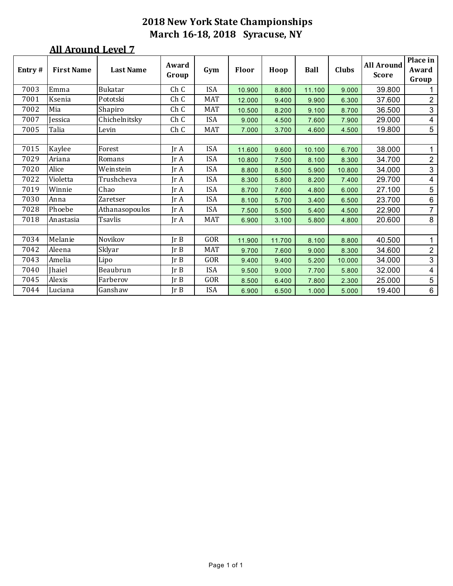| Entry# | <b>First Name</b> | <b>Last Name</b> | Award<br>Group               | Gym        | <b>Floor</b> | Hoop   | <b>Ball</b> | <b>Clubs</b> | <b>All Around</b><br><b>Score</b> | Place in<br>Award<br>Group |
|--------|-------------------|------------------|------------------------------|------------|--------------|--------|-------------|--------------|-----------------------------------|----------------------------|
| 7003   | Emma              | Bukatar          | Ch C                         | <b>ISA</b> | 10.900       | 8.800  | 11.100      | 9.000        | 39.800                            |                            |
| 7001   | Ksenia            | Pototski         | Ch C                         | <b>MAT</b> | 12.000       | 9.400  | 9.900       | 6.300        | 37.600                            | $\overline{2}$             |
| 7002   | Mia               | Shapiro          | Ch C                         | <b>MAT</b> | 10.500       | 8.200  | 9.100       | 8.700        | 36.500                            | $\mathfrak{S}$             |
| 7007   | Jessica           | Chichelnitsky    | Ch C                         | ISA        | 9.000        | 4.500  | 7.600       | 7.900        | 29.000                            | $\overline{4}$             |
| 7005   | Talia             | Levin            | Ch C                         | MAT        | 7.000        | 3.700  | 4.600       | 4.500        | 19.800                            | 5                          |
|        |                   |                  |                              |            |              |        |             |              |                                   |                            |
| 7015   | Kaylee            | Forest           | Jr A                         | <b>ISA</b> | 11.600       | 9.600  | 10.100      | 6.700        | 38.000                            | 1                          |
| 7029   | Ariana            | Romans           | Jr A                         | <b>ISA</b> | 10.800       | 7.500  | 8.100       | 8.300        | 34.700                            | $\overline{2}$             |
| 7020   | Alice             | Weinstein        | Jr A                         | <b>ISA</b> | 8.800        | 8.500  | 5.900       | 10.800       | 34.000                            | 3                          |
| 7022   | Violetta          | Trushcheva       | Jr A                         | <b>ISA</b> | 8.300        | 5.800  | 8.200       | 7.400        | 29.700                            | $\overline{4}$             |
| 7019   | Winnie            | Chao             | Jr A                         | <b>ISA</b> | 8.700        | 7.600  | 4.800       | 6.000        | 27.100                            | 5                          |
| 7030   | Anna              | Zaretser         | Jr A                         | <b>ISA</b> | 8.100        | 5.700  | 3.400       | 6.500        | 23.700                            | $6\,$                      |
| 7028   | Phoebe            | Athanasopoulos   | Jr A                         | <b>ISA</b> | 7.500        | 5.500  | 5.400       | 4.500        | 22.900                            | $\overline{7}$             |
| 7018   | Anastasia         | Tsavlis          | $\mathop{\rm Ir}\nolimits$ A | <b>MAT</b> | 6.900        | 3.100  | 5.800       | 4.800        | 20.600                            | 8                          |
|        |                   |                  |                              |            |              |        |             |              |                                   |                            |
| 7034   | Melanie           | Novikov          | Ir B                         | GOR        | 11.900       | 11.700 | 8.100       | 8.800        | 40.500                            | 1                          |
| 7042   | Aleena            | Sklyar           | Ir B                         | <b>MAT</b> | 9.700        | 7.600  | 9.000       | 8.300        | 34.600                            | $\overline{2}$             |
| 7043   | Amelia            | Lipo             | Ir B                         | GOR        | 9.400        | 9.400  | 5.200       | 10.000       | 34.000                            | $\mathfrak{S}$             |
| 7040   | <b>Jhaiel</b>     | Beaubrun         | Ir B                         | ISA        | 9.500        | 9.000  | 7.700       | 5.800        | 32.000                            | 4                          |
| 7045   | Alexis            | Farberov         | JrB                          | GOR        | 8.500        | 6.400  | 7.800       | 2.300        | 25.000                            | $\overline{5}$             |
| 7044   | Luciana           | Ganshaw          | Ir B                         | <b>ISA</b> | 6.900        | 6.500  | 1.000       | 5.000        | 19.400                            | 6                          |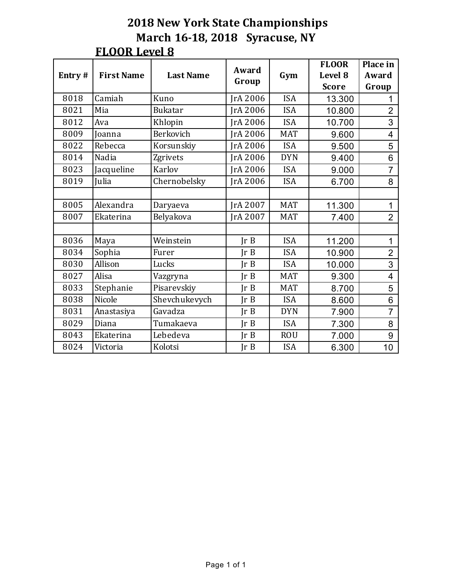| Entry# | <b>First Name</b> | <b>Last Name</b> | Award<br>Group  | Gym        | <b>FLOOR</b><br>Level 8 | Place in<br>Award |
|--------|-------------------|------------------|-----------------|------------|-------------------------|-------------------|
|        |                   |                  |                 |            | <b>Score</b>            | Group             |
| 8018   | Camiah            | Kuno             | JrA 2006        | <b>ISA</b> | 13.300                  |                   |
| 8021   | Mia               | <b>Bukatar</b>   | IrA 2006        | <b>ISA</b> | 10.800                  | $\overline{2}$    |
| 8012   | Ava               | Khlopin          | IrA 2006        | <b>ISA</b> | 10.700                  | 3                 |
| 8009   | Joanna            | Berkovich        | IrA 2006        | <b>MAT</b> | 9.600                   | 4                 |
| 8022   | Rebecca           | Korsunskiy       | IrA 2006        | <b>ISA</b> | 9.500                   | 5                 |
| 8014   | Nadia             | Zgrivets         | JrA 2006        | <b>DYN</b> | 9.400                   | 6                 |
| 8023   | Jacqueline        | Karlov           | <b>JrA 2006</b> | <b>ISA</b> | 9.000                   | $\overline{7}$    |
| 8019   | Julia             | Chernobelsky     | JrA 2006        | <b>ISA</b> | 6.700                   | 8                 |
|        |                   |                  |                 |            |                         |                   |
| 8005   | Alexandra         | Daryaeva         | JrA 2007        | <b>MAT</b> | 11.300                  | 1                 |
| 8007   | Ekaterina         | Belyakova        | JrA 2007        | <b>MAT</b> | 7.400                   | $\overline{2}$    |
|        |                   |                  |                 |            |                         |                   |
| 8036   | Maya              | Weinstein        | Ir B            | <b>ISA</b> | 11.200                  | 1                 |
| 8034   | Sophia            | Furer            | Ir B            | <b>ISA</b> | 10.900                  | $\overline{2}$    |
| 8030   | Allison           | Lucks            | Ir B            | <b>ISA</b> | 10.000                  | 3                 |
| 8027   | Alisa             | Vazgryna         | IrB             | <b>MAT</b> | 9.300                   | $\overline{4}$    |
| 8033   | Stephanie         | Pisarevskiy      | Ir B            | <b>MAT</b> | 8.700                   | 5                 |
| 8038   | Nicole            | Shevchukevych    | Ir B            | <b>ISA</b> | 8.600                   | 6                 |
| 8031   | Anastasiya        | Gavadza          | Ir B            | <b>DYN</b> | 7.900                   | $\overline{7}$    |
| 8029   | Diana             | Tumakaeva        | Ir B            | <b>ISA</b> | 7.300                   | 8                 |
| 8043   | Ekaterina         | Lebedeva         | Ir B            | <b>ROU</b> | 7.000                   | 9                 |
| 8024   | Victoria          | Kolotsi          | Ir B            | <b>ISA</b> | 6.300                   | 10                |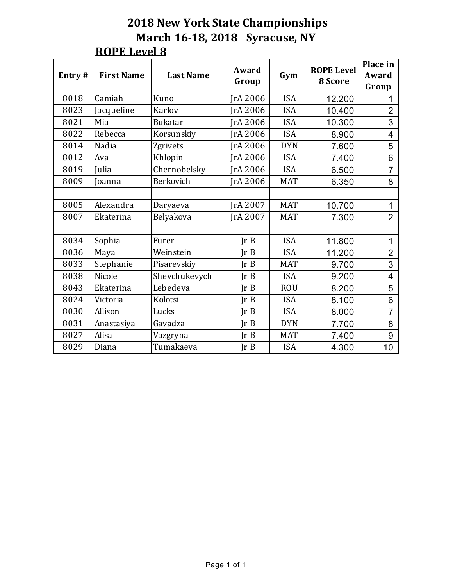| Entry# | <b>First Name</b> | <b>Last Name</b> | Award<br>Group  | Gym        | <b>ROPE Level</b><br>8 Score | Place in<br>Award<br>Group |
|--------|-------------------|------------------|-----------------|------------|------------------------------|----------------------------|
| 8018   | Camiah            | Kuno             | <b>IrA 2006</b> | <b>ISA</b> | 12.200                       |                            |
| 8023   | Jacqueline        | Karlov           | JrA 2006        | <b>ISA</b> | 10.400                       | $\overline{2}$             |
| 8021   | Mia               | <b>Bukatar</b>   | <b>IrA 2006</b> | <b>ISA</b> | 10.300                       | 3                          |
| 8022   | Rebecca           | Korsunskiy       | JrA 2006        | <b>ISA</b> | 8.900                        | $\overline{\mathbf{4}}$    |
| 8014   | Nadia             | Zgrivets         | JrA 2006        | <b>DYN</b> | 7.600                        | 5                          |
| 8012   | Ava               | Khlopin          | JrA 2006        | <b>ISA</b> | 7.400                        | 6                          |
| 8019   | Julia             | Chernobelsky     | JrA 2006        | <b>ISA</b> | 6.500                        | $\overline{7}$             |
| 8009   | Joanna            | Berkovich        | <b>JrA 2006</b> | <b>MAT</b> | 6.350                        | 8                          |
|        |                   |                  |                 |            |                              |                            |
| 8005   | Alexandra         | Daryaeva         | <b>IrA 2007</b> | <b>MAT</b> | 10.700                       | 1                          |
| 8007   | Ekaterina         | Belyakova        | IrA 2007        | <b>MAT</b> | 7.300                        | $\overline{2}$             |
|        |                   |                  |                 |            |                              |                            |
| 8034   | Sophia            | Furer            | JrB             | <b>ISA</b> | 11.800                       | 1                          |
| 8036   | Maya              | Weinstein        | Ir B            | <b>ISA</b> | 11.200                       | $\overline{2}$             |
| 8033   | Stephanie         | Pisarevskiy      | IrB             | <b>MAT</b> | 9.700                        | 3                          |
| 8038   | Nicole            | Shevchukevych    | Ir B            | <b>ISA</b> | 9.200                        | $\overline{4}$             |
| 8043   | Ekaterina         | Lebedeva         | Ir B            | <b>ROU</b> | 8.200                        | 5                          |
| 8024   | Victoria          | Kolotsi          | Ir B            | <b>ISA</b> | 8.100                        | 6                          |
| 8030   | Allison           | Lucks            | Ir B            | <b>ISA</b> | 8.000                        | $\overline{7}$             |
| 8031   | Anastasiya        | Gavadza          | Ir B            | <b>DYN</b> | 7.700                        | 8                          |
| 8027   | Alisa             | Vazgryna         | Ir B            | <b>MAT</b> | 7.400                        | 9                          |
| 8029   | Diana             | Tumakaeva        | Ir B            | <b>ISA</b> | 4.300                        | 10 <sub>1</sub>            |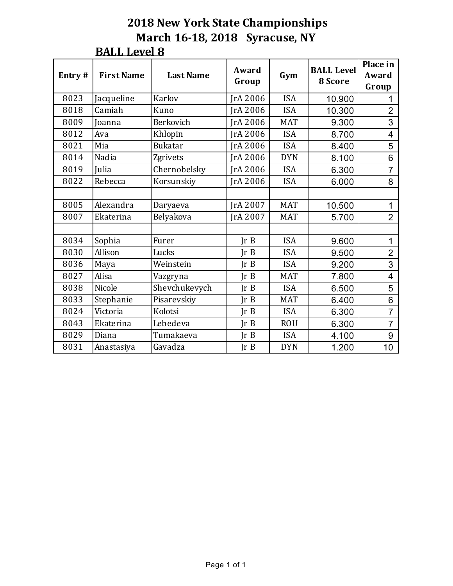| Entry# | <b>First Name</b> | <b>Last Name</b> | Award<br>Group  | Gym        | <b>BALL Level</b><br>8 Score | Place in<br>Award<br>Group |
|--------|-------------------|------------------|-----------------|------------|------------------------------|----------------------------|
| 8023   | Jacqueline        | Karlov           | JrA 2006        | <b>ISA</b> | 10.900                       |                            |
| 8018   | Camiah            | Kuno             | JrA 2006        | <b>ISA</b> | 10.300                       | $\overline{2}$             |
| 8009   | Joanna            | Berkovich        | <b>JrA 2006</b> | <b>MAT</b> | 9.300                        | 3                          |
| 8012   | Ava               | Khlopin          | JrA 2006        | <b>ISA</b> | 8.700                        | $\overline{\mathbf{4}}$    |
| 8021   | Mia               | <b>Bukatar</b>   | JrA 2006        | <b>ISA</b> | 8.400                        | 5                          |
| 8014   | Nadia             | Zgrivets         | IrA 2006        | <b>DYN</b> | 8.100                        | 6                          |
| 8019   | Julia             | Chernobelsky     | JrA 2006        | <b>ISA</b> | 6.300                        | $\overline{7}$             |
| 8022   | Rebecca           | Korsunskiy       | IrA 2006        | <b>ISA</b> | 6.000                        | 8                          |
|        |                   |                  |                 |            |                              |                            |
| 8005   | Alexandra         | Daryaeva         | <b>IrA 2007</b> | <b>MAT</b> | 10.500                       | $\mathbf{1}$               |
| 8007   | Ekaterina         | Belyakova        | JrA 2007        | <b>MAT</b> | 5.700                        | $\overline{2}$             |
|        |                   |                  |                 |            |                              |                            |
| 8034   | Sophia            | Furer            | JrB             | <b>ISA</b> | 9.600                        | $\mathbf{1}$               |
| 8030   | Allison           | Lucks            | Ir B            | <b>ISA</b> | 9.500                        | $\overline{2}$             |
| 8036   | Maya              | Weinstein        | Ir B            | <b>ISA</b> | 9.200                        | 3                          |
| 8027   | Alisa             | Vazgryna         | JrB             | <b>MAT</b> | 7.800                        | $\overline{4}$             |
| 8038   | Nicole            | Shevchukevych    | Ir B            | <b>ISA</b> | 6.500                        | 5                          |
| 8033   | Stephanie         | Pisarevskiy      | Ir B            | <b>MAT</b> | 6.400                        | 6                          |
| 8024   | Victoria          | Kolotsi          | Ir B            | <b>ISA</b> | 6.300                        | $\overline{7}$             |
| 8043   | Ekaterina         | Lebedeva         | Ir B            | <b>ROU</b> | 6.300                        | $\overline{7}$             |
| 8029   | Diana             | Tumakaeva        | Ir B            | <b>ISA</b> | 4.100                        | 9                          |
| 8031   | Anastasiya        | Gavadza          | Ir B            | <b>DYN</b> | 1.200                        | 10                         |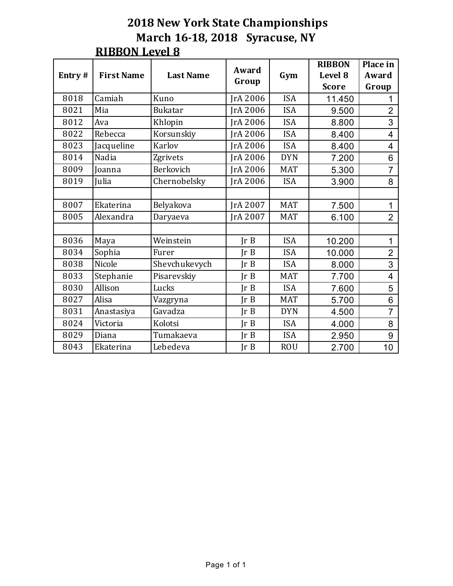| Entry# | <b>First Name</b> | <b>Last Name</b> | Award           | Gym        | <b>RIBBON</b><br>Level 8 | Place in<br>Award |
|--------|-------------------|------------------|-----------------|------------|--------------------------|-------------------|
|        |                   |                  | Group           |            | <b>Score</b>             | Group             |
| 8018   | Camiah            | Kuno             | JrA 2006        | <b>ISA</b> | 11.450                   |                   |
| 8021   | Mia               | <b>Bukatar</b>   | IrA 2006        | <b>ISA</b> | 9.500                    | $\overline{2}$    |
| 8012   | Ava               | Khlopin          | JrA 2006        | <b>ISA</b> | 8.800                    | 3                 |
| 8022   | Rebecca           | Korsunskiy       | JrA 2006        | <b>ISA</b> | 8.400                    | 4                 |
| 8023   | Jacqueline        | Karlov           | JrA 2006        | <b>ISA</b> | 8.400                    | 4                 |
| 8014   | Nadia             | Zgrivets         | JrA 2006        | <b>DYN</b> | 7.200                    | 6                 |
| 8009   | Joanna            | Berkovich        | <b>JrA 2006</b> | <b>MAT</b> | 5.300                    | $\overline{7}$    |
| 8019   | Julia             | Chernobelsky     | JrA 2006        | <b>ISA</b> | 3.900                    | 8                 |
|        |                   |                  |                 |            |                          |                   |
| 8007   | Ekaterina         | Belyakova        | JrA 2007        | <b>MAT</b> | 7.500                    | $\mathbf{1}$      |
| 8005   | Alexandra         | Daryaeva         | IrA 2007        | <b>MAT</b> | 6.100                    | $\overline{2}$    |
|        |                   |                  |                 |            |                          |                   |
| 8036   | Maya              | Weinstein        | Ir B            | <b>ISA</b> | 10.200                   | 1                 |
| 8034   | Sophia            | Furer            | Ir B            | <b>ISA</b> | 10.000                   | $\overline{2}$    |
| 8038   | Nicole            | Shevchukevych    | Ir B            | <b>ISA</b> | 8.000                    | 3                 |
| 8033   | Stephanie         | Pisarevskiy      | Ir B            | <b>MAT</b> | 7.700                    | $\overline{4}$    |
| 8030   | Allison           | Lucks            | Ir B            | <b>ISA</b> | 7.600                    | 5                 |
| 8027   | Alisa             | Vazgryna         | Ir B            | <b>MAT</b> | 5.700                    | 6                 |
| 8031   | Anastasiya        | Gavadza          | Ir B            | <b>DYN</b> | 4.500                    | $\overline{7}$    |
| 8024   | Victoria          | Kolotsi          | Ir B            | <b>ISA</b> | 4.000                    | 8                 |
| 8029   | Diana             | Tumakaeva        | Ir B            | <b>ISA</b> | 2.950                    | 9                 |
| 8043   | Ekaterina         | Lebedeva         | Ir B            | <b>ROU</b> | 2.700                    | 10 <sup>°</sup>   |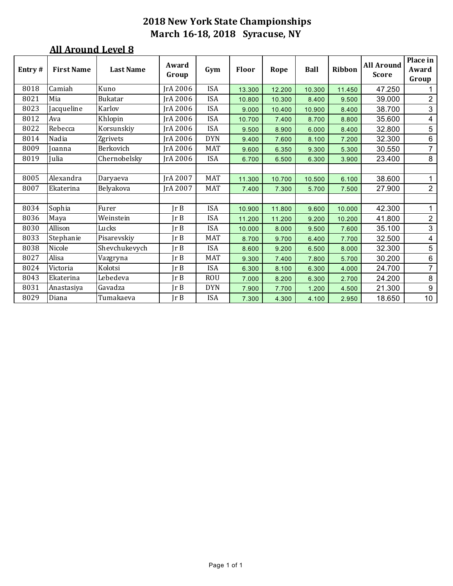| Entry# | <b>First Name</b> | <b>Last Name</b> | Award<br>Group  | Gym        | <b>Floor</b> | Rope   | <b>Ball</b> | Ribbon | <b>All Around</b><br><b>Score</b> | Place in<br>Award<br>Group |
|--------|-------------------|------------------|-----------------|------------|--------------|--------|-------------|--------|-----------------------------------|----------------------------|
| 8018   | Camiah            | Kuno             | JrA 2006        | ISA        | 13.300       | 12.200 | 10.300      | 11.450 | 47.250                            | 1                          |
| 8021   | Mia               | <b>Bukatar</b>   | <b>IrA 2006</b> | <b>ISA</b> | 10.800       | 10.300 | 8.400       | 9.500  | 39.000                            | $\overline{2}$             |
| 8023   | Jacqueline        | Karlov           | <b>IrA 2006</b> | <b>ISA</b> | 9.000        | 10.400 | 10.900      | 8.400  | 38.700                            | 3                          |
| 8012   | Ava               | Khlopin          | JrA 2006        | <b>ISA</b> | 10.700       | 7.400  | 8.700       | 8.800  | 35.600                            | $\overline{4}$             |
| 8022   | Rebecca           | Korsunskiy       | <b>IrA 2006</b> | <b>ISA</b> | 9.500        | 8.900  | 6.000       | 8.400  | 32.800                            | 5                          |
| 8014   | Nadia             | Zgrivets         | JrA 2006        | <b>DYN</b> | 9.400        | 7.600  | 8.100       | 7.200  | 32.300                            | $\,6\,$                    |
| 8009   | Joanna            | Berkovich        | JrA 2006        | <b>MAT</b> | 9.600        | 6.350  | 9.300       | 5.300  | 30.550                            | $\overline{7}$             |
| 8019   | Julia             | Chernobelsky     | <b>IrA 2006</b> | <b>ISA</b> | 6.700        | 6.500  | 6.300       | 3.900  | 23.400                            | 8                          |
|        |                   |                  |                 |            |              |        |             |        |                                   |                            |
| 8005   | Alexandra         | Daryaeva         | IrA 2007        | <b>MAT</b> | 11.300       | 10.700 | 10.500      | 6.100  | 38.600                            | $\mathbf{1}$               |
| 8007   | Ekaterina         | Belyakova        | IrA 2007        | <b>MAT</b> | 7.400        | 7.300  | 5.700       | 7.500  | 27.900                            | $\overline{2}$             |
|        |                   |                  |                 |            |              |        |             |        |                                   |                            |
| 8034   | Sophia            | Furer            | $\text{lr } B$  | <b>ISA</b> | 10.900       | 11.800 | 9.600       | 10.000 | 42.300                            | 1                          |
| 8036   | Maya              | Weinstein        | $\ln B$         | <b>ISA</b> | 11.200       | 11.200 | 9.200       | 10.200 | 41.800                            | $\overline{2}$             |
| 8030   | Allison           | Lucks            | JrB             | <b>ISA</b> | 10.000       | 8.000  | 9.500       | 7.600  | 35.100                            | $\mathfrak{S}$             |
| 8033   | Stephanie         | Pisarevskiy      | JrB             | <b>MAT</b> | 8.700        | 9.700  | 6.400       | 7.700  | 32.500                            | $\overline{4}$             |
| 8038   | Nicole            | Shevchukevych    | JrB             | <b>ISA</b> | 8.600        | 9.200  | 6.500       | 8.000  | 32.300                            | 5                          |
| 8027   | Alisa             | Vazgryna         | Ir B            | <b>MAT</b> | 9.300        | 7.400  | 7.800       | 5.700  | 30.200                            | $6\phantom{a}$             |
| 8024   | Victoria          | Kolotsi          | $\ln B$         | <b>ISA</b> | 6.300        | 8.100  | 6.300       | 4.000  | 24.700                            | $\overline{7}$             |
| 8043   | Ekaterina         | Lebedeva         | JrB             | <b>ROU</b> | 7.000        | 8.200  | 6.300       | 2.700  | 24.200                            | 8                          |
| 8031   | Anastasiya        | Gavadza          | JrB             | <b>DYN</b> | 7.900        | 7.700  | 1.200       | 4.500  | 21.300                            | 9                          |
| 8029   | Diana             | Tumakaeva        | Ir B            | <b>ISA</b> | 7.300        | 4.300  | 4.100       | 2.950  | 18.650                            | 10 <sub>1</sub>            |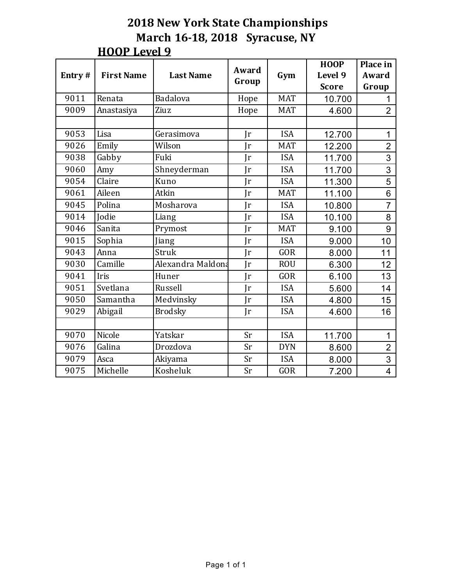| Entry# | <b>First Name</b> | <b>Last Name</b>  | Award        | Gym        | <b>HOOP</b><br>Level 9 | Place in<br>Award |
|--------|-------------------|-------------------|--------------|------------|------------------------|-------------------|
|        |                   |                   | Group        |            | <b>Score</b>           | Group             |
| 9011   | Renata            | Badalova          | Hope         | <b>MAT</b> | 10.700                 | 1                 |
| 9009   | Anastasiya        | Ziuz              | Hope         | <b>MAT</b> | 4.600                  | $\overline{2}$    |
|        |                   |                   |              |            |                        |                   |
| 9053   | Lisa              | Gerasimova        | $\mathbf{r}$ | <b>ISA</b> | 12.700                 | 1                 |
| 9026   | Emily             | Wilson            | $\mathbf{r}$ | <b>MAT</b> | 12.200                 | $\overline{2}$    |
| 9038   | Gabby             | Fuki              | $\mathbf{r}$ | <b>ISA</b> | 11.700                 | 3                 |
| 9060   | Amy               | Shneyderman       | $\mathbf{r}$ | <b>ISA</b> | 11.700                 | 3                 |
| 9054   | Claire            | Kuno              | Ir           | <b>ISA</b> | 11.300                 | 5                 |
| 9061   | Aileen            | Atkin             | Ir           | <b>MAT</b> | 11.100                 | 6                 |
| 9045   | Polina            | Mosharova         | $\mathbf{r}$ | <b>ISA</b> | 10.800                 | $\overline{7}$    |
| 9014   | <b>Jodie</b>      | Liang             | $\mathbf{r}$ | <b>ISA</b> | 10.100                 | 8                 |
| 9046   | Sanita            | Prymost           | Jr           | <b>MAT</b> | 9.100                  | 9                 |
| 9015   | Sophia            | Jiang             | Ir           | <b>ISA</b> | 9.000                  | 10                |
| 9043   | Anna              | <b>Struk</b>      | $\mathbf{r}$ | <b>GOR</b> | 8.000                  | 11                |
| 9030   | Camille           | Alexandra Maldona | $\mathbf{r}$ | <b>ROU</b> | 6.300                  | 12                |
| 9041   | Iris              | Huner             | Ir           | <b>GOR</b> | 6.100                  | 13                |
| 9051   | Svetlana          | Russell           | Jr           | <b>ISA</b> | 5.600                  | 14                |
| 9050   | Samantha          | Medvinsky         | $\mathbf{r}$ | <b>ISA</b> | 4.800                  | 15                |
| 9029   | Abigail           | <b>Brodsky</b>    | $\mathbf{r}$ | <b>ISA</b> | 4.600                  | 16                |
|        |                   |                   |              |            |                        |                   |
| 9070   | Nicole            | Yatskar           | Sr           | <b>ISA</b> | 11.700                 | $\mathbf{1}$      |
| 9076   | Galina            | Drozdova          | Sr           | <b>DYN</b> | 8.600                  | $\overline{2}$    |
| 9079   | Asca              | Akiyama           | Sr           | <b>ISA</b> | 8.000                  | 3                 |
| 9075   | Michelle          | Kosheluk          | Sr           | <b>GOR</b> | 7.200                  | $\overline{4}$    |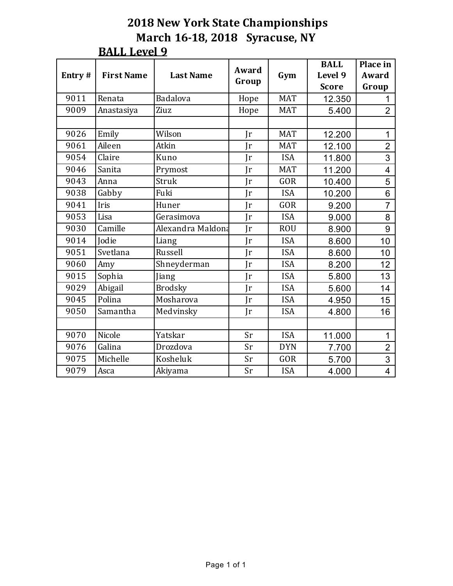| Entry# | <b>First Name</b> | <b>Last Name</b>  | Award<br>Group | Gym        | <b>BALL</b><br>Level 9 | Place in<br>Award |
|--------|-------------------|-------------------|----------------|------------|------------------------|-------------------|
|        |                   |                   |                |            | <b>Score</b>           | Group             |
| 9011   | Renata            | Badalova          | Hope           | <b>MAT</b> | 12.350                 | 1                 |
| 9009   | Anastasiya        | Ziuz              | Hope           | <b>MAT</b> | 5.400                  | $\overline{2}$    |
|        |                   |                   |                |            |                        |                   |
| 9026   | Emily             | Wilson            | $\mathbf{r}$   | <b>MAT</b> | 12.200                 | 1                 |
| 9061   | Aileen            | Atkin             | $\mathbf{r}$   | <b>MAT</b> | 12.100                 | $\overline{2}$    |
| 9054   | Claire            | Kuno              | $\mathbf{r}$   | <b>ISA</b> | 11.800                 | 3                 |
| 9046   | Sanita            | Prymost           | $\mathbf{r}$   | <b>MAT</b> | 11.200                 | $\overline{4}$    |
| 9043   | Anna              | Struk             | Ir             | <b>GOR</b> | 10.400                 | 5                 |
| 9038   | Gabby             | Fuki              | $\mathbf{r}$   | <b>ISA</b> | 10.200                 | 6                 |
| 9041   | Iris              | Huner             | $\mathbf{r}$   | <b>GOR</b> | 9.200                  | $\overline{7}$    |
| 9053   | Lisa              | Gerasimova        | Jr             | <b>ISA</b> | 9.000                  | 8                 |
| 9030   | Camille           | Alexandra Maldona | $\mathbf{r}$   | <b>ROU</b> | 8.900                  | 9                 |
| 9014   | Jodie             | Liang             | $\mathbf{r}$   | <b>ISA</b> | 8.600                  | 10                |
| 9051   | Svetlana          | Russell           | Jr             | <b>ISA</b> | 8.600                  | 10                |
| 9060   | Amy               | Shneyderman       | $\mathbf{r}$   | <b>ISA</b> | 8.200                  | 12                |
| 9015   | Sophia            | Jiang             | Ir             | <b>ISA</b> | 5.800                  | 13                |
| 9029   | Abigail           | <b>Brodsky</b>    | Ir             | <b>ISA</b> | 5.600                  | 14                |
| 9045   | Polina            | Mosharova         | $\mathbf{r}$   | <b>ISA</b> | 4.950                  | 15                |
| 9050   | Samantha          | Medvinsky         | Jr             | <b>ISA</b> | 4.800                  | 16                |
|        |                   |                   |                |            |                        |                   |
| 9070   | Nicole            | Yatskar           | Sr             | <b>ISA</b> | 11.000                 | $\mathbf 1$       |
| 9076   | Galina            | Drozdova          | Sr             | <b>DYN</b> | 7.700                  | $\overline{2}$    |
| 9075   | Michelle          | Kosheluk          | Sr             | GOR        | 5.700                  | 3                 |
| 9079   | Asca              | Akiyama           | Sr             | <b>ISA</b> | 4.000                  | 4                 |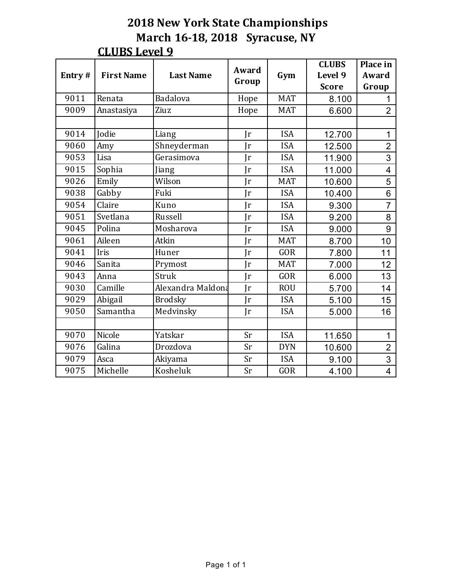| Entry# | <b>First Name</b> | <b>Last Name</b>  | Award<br>Group | Gym        | <b>CLUBS</b><br>Level 9 | Place in<br>Award |
|--------|-------------------|-------------------|----------------|------------|-------------------------|-------------------|
|        |                   |                   |                |            | <b>Score</b>            | Group             |
| 9011   | Renata            | Badalova          | Hope           | <b>MAT</b> | 8.100                   | 1                 |
| 9009   | Anastasiya        | Ziuz              | Hope           | <b>MAT</b> | 6.600                   | $\overline{2}$    |
|        |                   |                   |                |            |                         |                   |
| 9014   | Jodie             | Liang             | $\mathbf{r}$   | <b>ISA</b> | 12.700                  | 1                 |
| 9060   | Amy               | Shneyderman       | Ir             | <b>ISA</b> | 12.500                  | $\overline{2}$    |
| 9053   | Lisa              | Gerasimova        | $\mathbf{r}$   | <b>ISA</b> | 11.900                  | 3                 |
| 9015   | Sophia            | Jiang             | Ir             | <b>ISA</b> | 11.000                  | $\overline{4}$    |
| 9026   | Emily             | Wilson            | Ir             | <b>MAT</b> | 10.600                  | 5                 |
| 9038   | Gabby             | Fuki              | Ir             | <b>ISA</b> | 10.400                  | 6                 |
| 9054   | Claire            | Kuno              | Ir             | <b>ISA</b> | 9.300                   | $\overline{7}$    |
| 9051   | Svetlana          | Russell           | Jr             | <b>ISA</b> | 9.200                   | 8                 |
| 9045   | Polina            | Mosharova         | Jr             | <b>ISA</b> | 9.000                   | 9                 |
| 9061   | Aileen            | Atkin             | Ir             | <b>MAT</b> | 8.700                   | 10                |
| 9041   | Iris              | Huner             | Ir             | <b>GOR</b> | 7.800                   | 11                |
| 9046   | Sanita            | Prymost           | Ir             | <b>MAT</b> | 7.000                   | 12                |
| 9043   | Anna              | Struk             | Jr             | <b>GOR</b> | 6.000                   | 13                |
| 9030   | Camille           | Alexandra Maldona | Ir             | <b>ROU</b> | 5.700                   | 14                |
| 9029   | Abigail           | <b>Brodsky</b>    | $\mathbf{r}$   | <b>ISA</b> | 5.100                   | 15                |
| 9050   | Samantha          | Medvinsky         | $\mathbf{r}$   | <b>ISA</b> | 5.000                   | 16                |
|        |                   |                   |                |            |                         |                   |
| 9070   | Nicole            | Yatskar           | Sr             | <b>ISA</b> | 11.650                  | $\mathbf{1}$      |
| 9076   | Galina            | Drozdova          | Sr             | <b>DYN</b> | 10.600                  | $\overline{2}$    |
| 9079   | Asca              | Akiyama           | Sr             | <b>ISA</b> | 9.100                   | 3                 |
| 9075   | Michelle          | Kosheluk          | Sr             | <b>GOR</b> | 4.100                   | $\overline{4}$    |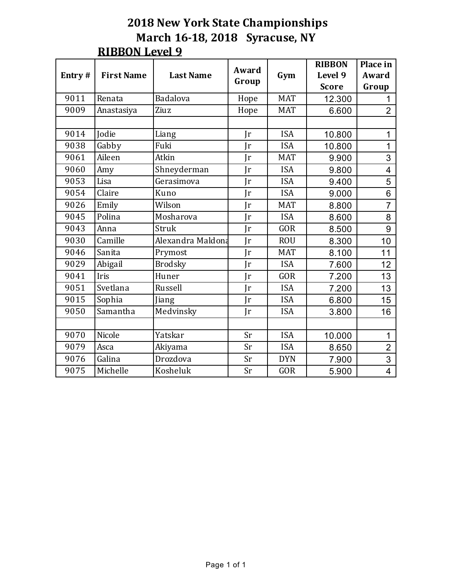|        |                                       |                   | Award        |            | <b>RIBBON</b> | Place in                 |
|--------|---------------------------------------|-------------------|--------------|------------|---------------|--------------------------|
| Entry# | <b>First Name</b><br><b>Last Name</b> |                   | Group        | Gym        | Level 9       | Award                    |
|        |                                       |                   |              |            | <b>Score</b>  | Group                    |
| 9011   | Renata                                | Badalova          | Hope         | <b>MAT</b> | 12.300        | 1                        |
| 9009   | Anastasiya                            | Ziuz              | Hope         | <b>MAT</b> | 6.600         | $\overline{2}$           |
|        |                                       |                   |              |            |               |                          |
| 9014   | Jodie                                 | Liang             | Jr           | <b>ISA</b> | 10.800        | $\mathbf{1}$             |
| 9038   | Gabby                                 | Fuki              | Ir           | <b>ISA</b> | 10.800        | $\mathbf{1}$             |
| 9061   | Aileen                                | Atkin             | Ir           | <b>MAT</b> | 9.900         | 3                        |
| 9060   | Amy                                   | Shneyderman       | Ir           | <b>ISA</b> | 9.800         | $\overline{4}$           |
| 9053   | Lisa                                  | Gerasimova        | Ir           | <b>ISA</b> | 9.400         | 5                        |
| 9054   | Claire                                | Kuno              | $\mathbf{r}$ | <b>ISA</b> | 9.000         | 6                        |
| 9026   | Emily                                 | Wilson            | Ir           | <b>MAT</b> | 8.800         | $\overline{7}$           |
| 9045   | Polina                                | Mosharova         | Ir           | <b>ISA</b> | 8.600         | 8                        |
| 9043   | Anna                                  | Struk             | Ir           | <b>GOR</b> | 8.500         | 9                        |
| 9030   | Camille                               | Alexandra Maldona | Ir           | <b>ROU</b> | 8.300         | 10                       |
| 9046   | Sanita                                | Prymost           | Ir           | <b>MAT</b> | 8.100         | 11                       |
| 9029   | Abigail                               | <b>Brodsky</b>    | Ir           | <b>ISA</b> | 7.600         | 12                       |
| 9041   | Iris                                  | Huner             | Jr           | <b>GOR</b> | 7.200         | 13                       |
| 9051   | Svetlana                              | Russell           | $\mathbf{r}$ | <b>ISA</b> | 7.200         | 13                       |
| 9015   | Sophia                                | Jiang             | Ir           | <b>ISA</b> | 6.800         | 15                       |
| 9050   | Samantha                              | Medvinsky         | $\mathbf{r}$ | <b>ISA</b> | 3.800         | 16                       |
|        |                                       |                   |              |            |               |                          |
| 9070   | Nicole                                | Yatskar           | Sr           | <b>ISA</b> | 10.000        | $\mathbf{1}$             |
| 9079   | Asca                                  | Akiyama           | Sr           | <b>ISA</b> | 8.650         | $\overline{2}$           |
| 9076   | Galina                                | Drozdova          | Sr           | <b>DYN</b> | 7.900         | 3                        |
| 9075   | Michelle                              | Kosheluk          | Sr           | GOR        | 5.900         | $\overline{\mathcal{A}}$ |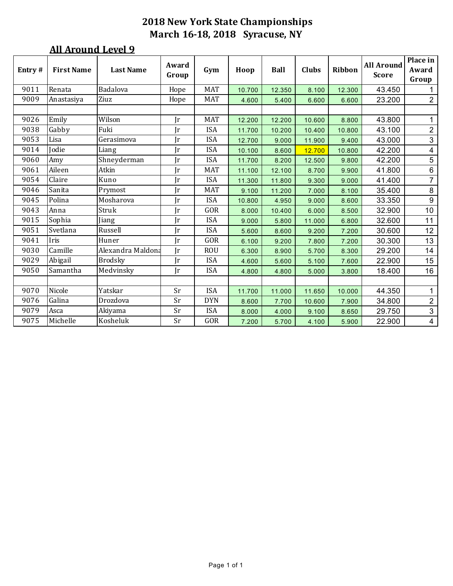| Entry# | <b>First Name</b> | <b>Last Name</b>  | Award<br>Group | Gym        | Hoop   | Ball   | <b>Clubs</b> | <b>Ribbon</b> | <b>All Around</b><br><b>Score</b> | Place in<br>Award<br>Group |
|--------|-------------------|-------------------|----------------|------------|--------|--------|--------------|---------------|-----------------------------------|----------------------------|
| 9011   | Renata            | Badalova          | Hope           | <b>MAT</b> | 10.700 | 12.350 | 8.100        | 12.300        | 43.450                            | $\mathbf{1}$               |
| 9009   | Anastasiya        | Ziuz              | Hope           | <b>MAT</b> | 4.600  | 5.400  | 6.600        | 6.600         | 23.200                            | $\overline{2}$             |
|        |                   |                   |                |            |        |        |              |               |                                   |                            |
| 9026   | Emily             | Wilson            | $\mathbf{r}$   | <b>MAT</b> | 12.200 | 12.200 | 10.600       | 8.800         | 43.800                            | 1                          |
| 9038   | Gabby             | Fuki              | $\mathbf{r}$   | <b>ISA</b> | 11.700 | 10.200 | 10.400       | 10.800        | 43.100                            | $\overline{2}$             |
| 9053   | Lisa              | Gerasimova        | Jr             | <b>ISA</b> | 12.700 | 9.000  | 11.900       | 9.400         | 43.000                            | $\mathbf{3}$               |
| 9014   | Jodie             | Liang             | Ir             | <b>ISA</b> | 10.100 | 8.600  | 12.700       | 10.800        | 42.200                            | $\overline{\mathbf{4}}$    |
| 9060   | Amy               | Shneyderman       | Jr             | <b>ISA</b> | 11.700 | 8.200  | 12.500       | 9.800         | 42.200                            | $\overline{5}$             |
| 9061   | Aileen            | Atkin             | Ir             | <b>MAT</b> | 11.100 | 12.100 | 8.700        | 9.900         | 41.800                            | $\,6\,$                    |
| 9054   | Claire            | Kuno              | Jr             | <b>ISA</b> | 11.300 | 11.800 | 9.300        | 9.000         | 41.400                            | $\overline{7}$             |
| 9046   | Sanita            | Prymost           | Jr             | <b>MAT</b> | 9.100  | 11.200 | 7.000        | 8.100         | 35.400                            | 8                          |
| 9045   | Polina            | Mosharova         | Jr             | <b>ISA</b> | 10.800 | 4.950  | 9.000        | 8.600         | 33.350                            | $\boldsymbol{9}$           |
| 9043   | Anna              | Struk             | Ir             | GOR        | 8.000  | 10.400 | 6.000        | 8.500         | 32.900                            | 10                         |
| 9015   | Sophia            | Jiang             | Jr             | <b>ISA</b> | 9.000  | 5.800  | 11.000       | 6.800         | 32.600                            | 11                         |
| 9051   | Svetlana          | Russell           | Jr             | <b>ISA</b> | 5.600  | 8.600  | 9.200        | 7.200         | 30.600                            | 12                         |
| 9041   | Iris              | Huner             | Jr             | GOR        | 6.100  | 9.200  | 7.800        | 7.200         | 30.300                            | 13                         |
| 9030   | Camille           | Alexandra Maldona | Ir             | <b>ROU</b> | 6.300  | 8.900  | 5.700        | 8.300         | 29.200                            | 14                         |
| 9029   | Abigail           | <b>Brodsky</b>    | Jr             | <b>ISA</b> | 4.600  | 5.600  | 5.100        | 7.600         | 22.900                            | 15                         |
| 9050   | Samantha          | Medvinsky         | Ir             | <b>ISA</b> | 4.800  | 4.800  | 5.000        | 3.800         | 18.400                            | 16                         |
|        |                   |                   |                |            |        |        |              |               |                                   |                            |
| 9070   | Nicole            | Yatskar           | Sr             | <b>ISA</b> | 11.700 | 11.000 | 11.650       | 10.000        | 44.350                            | 1                          |
| 9076   | Galina            | Drozdova          | Sr             | <b>DYN</b> | 8.600  | 7.700  | 10.600       | 7.900         | 34.800                            | $\overline{2}$             |
| 9079   | Asca              | Akiyama           | Sr             | <b>ISA</b> | 8.000  | 4.000  | 9.100        | 8.650         | 29.750                            | $\mathfrak{S}$             |
| 9075   | Michelle          | Kosheluk          | Sr             | GOR        | 7.200  | 5.700  | 4.100        | 5.900         | 22.900                            | $\overline{4}$             |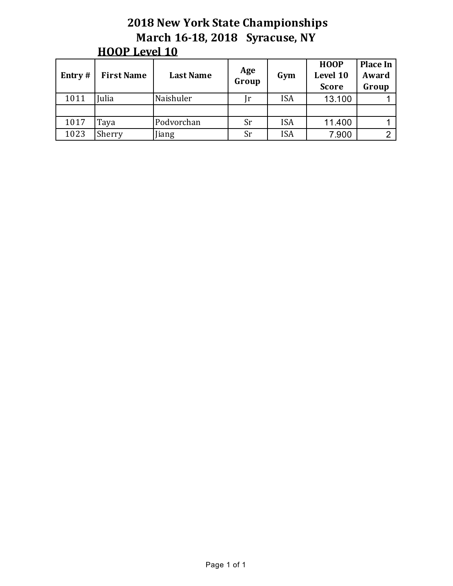| Entry $#$ | <b>First Name</b> | <b>Last Name</b> | Age<br>Group | Gym        | <b>HOOP</b><br>Level 10<br><b>Score</b> | <b>Place In</b><br>Award<br>Group |
|-----------|-------------------|------------------|--------------|------------|-----------------------------------------|-----------------------------------|
| 1011      | Julia             | Naishuler        | Jr           | <b>ISA</b> | 13.100                                  |                                   |
|           |                   |                  |              |            |                                         |                                   |
| 1017      | Taya              | Podvorchan       | Sr           | <b>ISA</b> | 11.400                                  |                                   |
| 1023      | Sherry            | iang             | <b>Sr</b>    | <b>ISA</b> | 7.900                                   |                                   |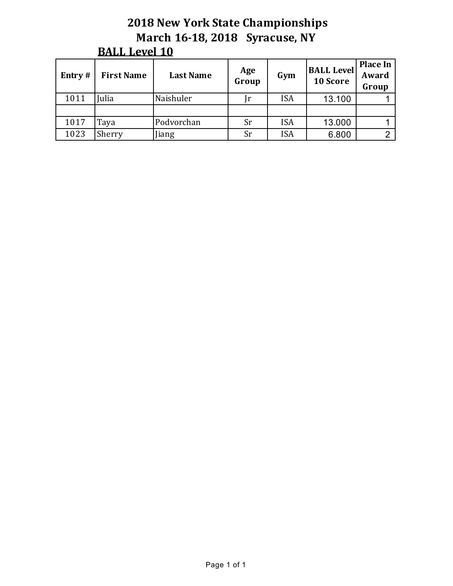| Entry $#$ | <b>First Name</b> | <b>Last Name</b> | Age<br>Group   | Gym        | <b>BALL Level</b><br>10 Score | <b>Place In</b><br>Award<br>Group |
|-----------|-------------------|------------------|----------------|------------|-------------------------------|-----------------------------------|
| 1011      | Julia             | Naishuler        | <sub>1</sub> r | <b>ISA</b> | 13.100                        |                                   |
|           |                   |                  |                |            |                               |                                   |
| 1017      | Taya              | Podvorchan       | Sr             | <b>ISA</b> | 13.000                        |                                   |
| 1023      | Sherry            | Jiang            | Sr             | <b>ISA</b> | 6.800                         |                                   |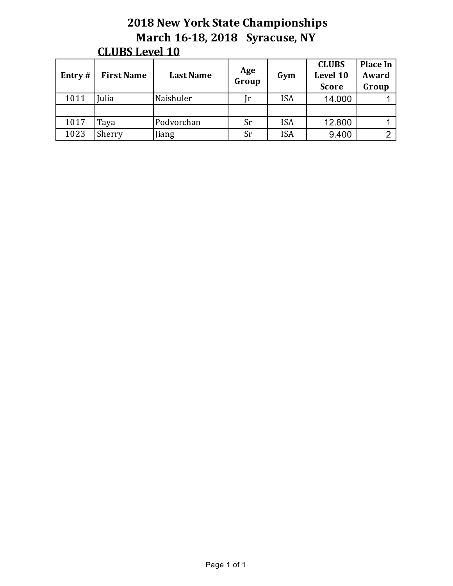| Entry# | <b>First Name</b> | <b>Last Name</b> | Age<br>Group | Gym        | <b>CLUBS</b><br>Level 10<br><b>Score</b> | <b>Place In</b><br>Award<br>Group |
|--------|-------------------|------------------|--------------|------------|------------------------------------------|-----------------------------------|
| 1011   | Julia             | Naishuler        | $\int$ r     | <b>ISA</b> | 14.000                                   |                                   |
|        |                   |                  |              |            |                                          |                                   |
| 1017   | Taya              | Podvorchan       | Sr           | <b>ISA</b> | 12.800                                   |                                   |
| 1023   | Sherry            | iang             | Sr           | <b>ISA</b> | 9.400                                    |                                   |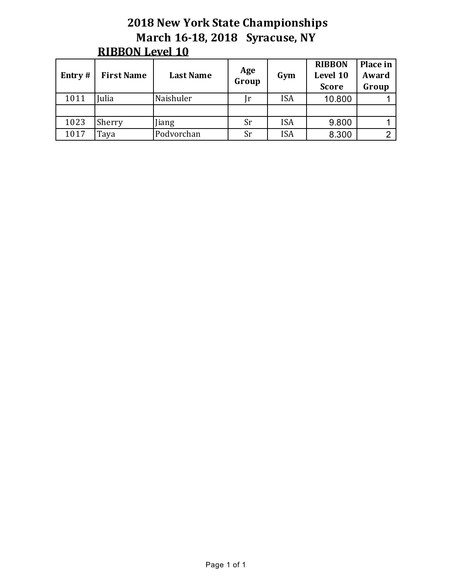| Entry# | <b>First Name</b> | <b>Last Name</b> | Age<br>Group | Gym        | <b>RIBBON</b><br>Level 10<br><b>Score</b> | Place in<br>Award<br>Group |
|--------|-------------------|------------------|--------------|------------|-------------------------------------------|----------------------------|
| 1011   | Julia             | Naishuler        | $\int$ r     | <b>ISA</b> | 10.800                                    |                            |
|        |                   |                  |              |            |                                           |                            |
| 1023   | Sherry            | iang             | Sr           | <b>ISA</b> | 9.800                                     |                            |
| 1017   | Taya              | Podvorchan       | Sr           | <b>ISA</b> | 8.300                                     |                            |